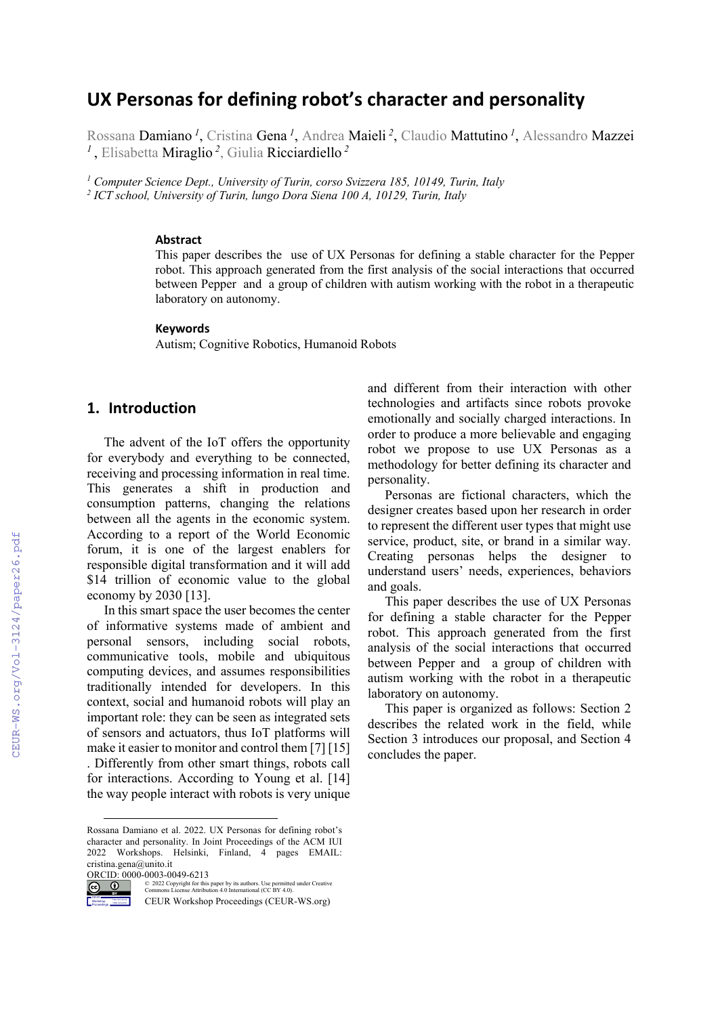# **UX Personas for defining robot's character and personality**

Rossana Damiano *<sup>1</sup>* , Cristina Gena *<sup>1</sup>* , Andrea Maieli *<sup>2</sup>* , Claudio Mattutino *<sup>1</sup>* , Alessandro Mazzei *<sup>1</sup>*, Elisabetta Miraglio *<sup>2</sup>* , Giulia Ricciardiello *<sup>2</sup>*

*<sup>1</sup> Computer Science Dept., University of Turin, corso Svizzera 185, 10149, Turin, Italy <sup>2</sup> ICT school, University of Turin, lungo Dora Siena 100 A, 10129, Turin, Italy*

#### **Abstract**

This paper describes the use of UX Personas for defining a stable character for the Pepper robot. This approach generated from the first analysis of the social interactions that occurred between Pepper and a group of children with autism working with the robot in a therapeutic laboratory on autonomy.

#### **Keywords 1**

Autism; Cognitive Robotics, Humanoid Robots

### **1. Introduction**

The advent of the IoT offers the opportunity for everybody and everything to be connected, receiving and processing information in real time. This generates a shift in production and consumption patterns, changing the relations between all the agents in the economic system. According to a report of the World Economic forum, it is one of the largest enablers for responsible digital transformation and it will add \$14 trillion of economic value to the global economy by 2030 [13].

In this smart space the user becomes the center of informative systems made of ambient and personal sensors, including social robots, communicative tools, mobile and ubiquitous computing devices, and assumes responsibilities traditionally intended for developers. In this context, social and humanoid robots will play an important role: they can be seen as integrated sets of sensors and actuators, thus IoT platforms will make it easier to monitor and control them [7] [15] . Differently from other smart things, robots call for interactions. According to Young et al. [14] the way people interact with robots is very unique

ORCID: 0000-0003-0049-6213

CEUR Workshop Proceedings http://ceur-ws.org ISSN 1613-0073

 $\circ$   $\circ$ © 2022 Copyright for this paper by its authors. Use permitted under Creative Commons License Attribution 4.0 International (CC BY 4.0).

CEUR Workshop Proceedings (CEUR-WS.org)

and different from their interaction with other technologies and artifacts since robots provoke emotionally and socially charged interactions. In order to produce a more believable and engaging robot we propose to use UX Personas as a methodology for better defining its character and personality.

Personas are fictional characters, which the designer creates based upon her research in order to represent the different user types that might use service, product, site, or brand in a similar way. Creating personas helps the designer to understand users' needs, experiences, behaviors and goals.

This paper describes the use of UX Personas for defining a stable character for the Pepper robot. This approach generated from the first analysis of the social interactions that occurred between Pepper and a group of children with autism working with the robot in a therapeutic laboratory on autonomy.

This paper is organized as follows: Section 2 describes the related work in the field, while Section 3 introduces our proposal, and Section 4 concludes the paper.

Rossana Damiano et al. 2022. UX Personas for defining robot's character and personality. In Joint Proceedings of the ACM IUI 2022 Workshops. Helsinki, Finland, 4 pages EMAIL: cristina.gena@unito.it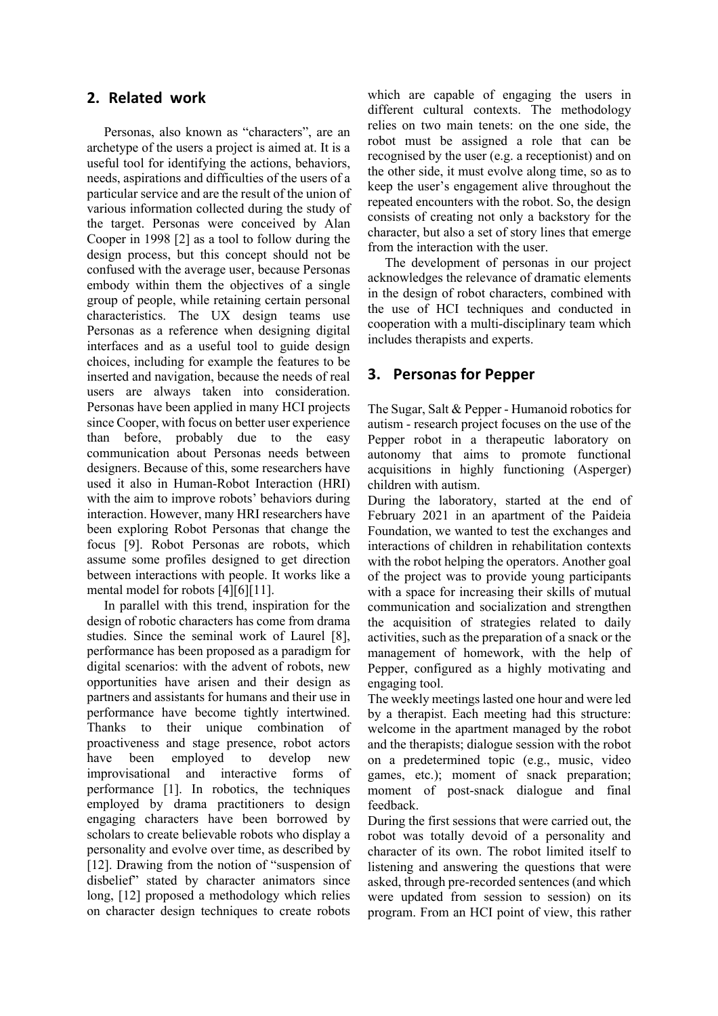### **2. Related work**

Personas, also known as "characters", are an archetype of the users a project is aimed at. It is a useful tool for identifying the actions, behaviors, needs, aspirations and difficulties of the users of a particular service and are the result of the union of various information collected during the study of the target. Personas were conceived by Alan Cooper in 1998 [2] as a tool to follow during the design process, but this concept should not be confused with the average user, because Personas embody within them the objectives of a single group of people, while retaining certain personal characteristics. The UX design teams use Personas as a reference when designing digital interfaces and as a useful tool to guide design choices, including for example the features to be inserted and navigation, because the needs of real users are always taken into consideration. Personas have been applied in many HCI projects since Cooper, with focus on better user experience than before, probably due to the easy communication about Personas needs between designers. Because of this, some researchers have used it also in Human-Robot Interaction (HRI) with the aim to improve robots' behaviors during interaction. However, many HRI researchers have been exploring Robot Personas that change the focus [9]. Robot Personas are robots, which assume some profiles designed to get direction between interactions with people. It works like a mental model for robots [4][6][11].

In parallel with this trend, inspiration for the design of robotic characters has come from drama studies. Since the seminal work of Laurel [8], performance has been proposed as a paradigm for digital scenarios: with the advent of robots, new opportunities have arisen and their design as partners and assistants for humans and their use in performance have become tightly intertwined. Thanks to their unique combination of proactiveness and stage presence, robot actors have been employed to develop new improvisational and interactive forms of performance [1]. In robotics, the techniques employed by drama practitioners to design engaging characters have been borrowed by scholars to create believable robots who display a personality and evolve over time, as described by [12]. Drawing from the notion of "suspension of disbelief" stated by character animators since long, [12] proposed a methodology which relies on character design techniques to create robots

which are capable of engaging the users in different cultural contexts. The methodology relies on two main tenets: on the one side, the robot must be assigned a role that can be recognised by the user (e.g. a receptionist) and on the other side, it must evolve along time, so as to keep the user's engagement alive throughout the repeated encounters with the robot. So, the design consists of creating not only a backstory for the character, but also a set of story lines that emerge from the interaction with the user.

The development of personas in our project acknowledges the relevance of dramatic elements in the design of robot characters, combined with the use of HCI techniques and conducted in cooperation with a multi-disciplinary team which includes therapists and experts.

## **3. Personas for Pepper**

The Sugar, Salt & Pepper - Humanoid robotics for autism - research project focuses on the use of the Pepper robot in a therapeutic laboratory on autonomy that aims to promote functional acquisitions in highly functioning (Asperger) children with autism.

During the laboratory, started at the end of February 2021 in an apartment of the Paideia Foundation, we wanted to test the exchanges and interactions of children in rehabilitation contexts with the robot helping the operators. Another goal of the project was to provide young participants with a space for increasing their skills of mutual communication and socialization and strengthen the acquisition of strategies related to daily activities, such as the preparation of a snack or the management of homework, with the help of Pepper, configured as a highly motivating and engaging tool.

The weekly meetings lasted one hour and were led by a therapist. Each meeting had this structure: welcome in the apartment managed by the robot and the therapists; dialogue session with the robot on a predetermined topic (e.g., music, video games, etc.); moment of snack preparation; moment of post-snack dialogue and final feedback.

During the first sessions that were carried out, the robot was totally devoid of a personality and character of its own. The robot limited itself to listening and answering the questions that were asked, through pre-recorded sentences (and which were updated from session to session) on its program. From an HCI point of view, this rather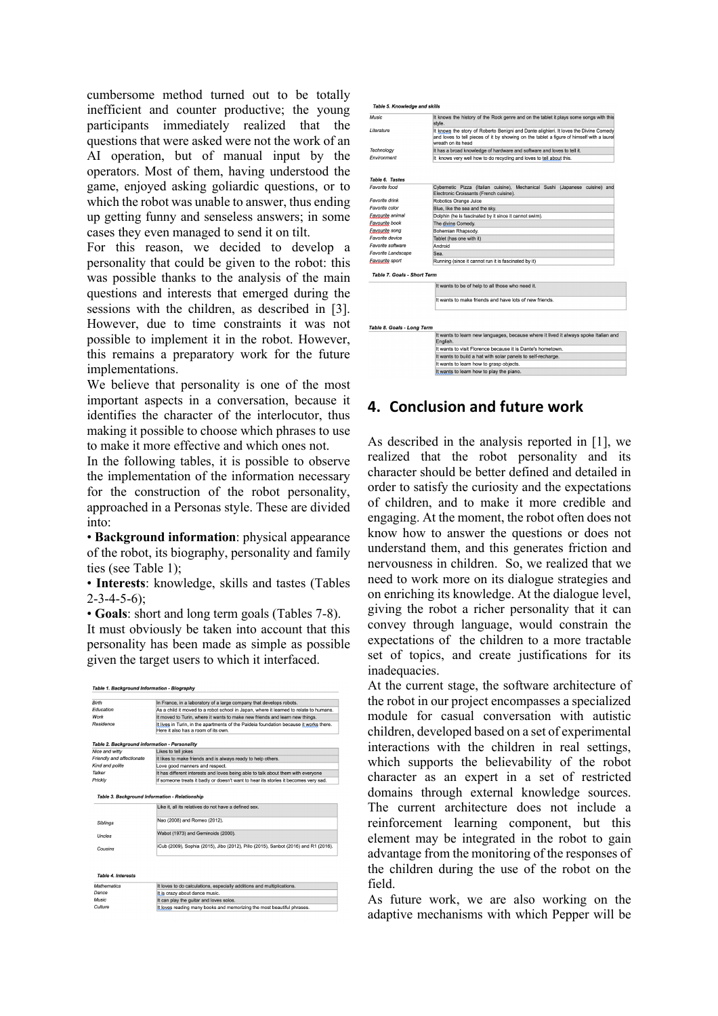cumbersome method turned out to be totally inefficient and counter productive; the young participants immediately realized that the questions that were asked were not the work of an AI operation, but of manual input by the operators. Most of them, having understood the game, enjoyed asking goliardic questions, or to which the robot was unable to answer, thus ending up getting funny and senseless answers; in some cases they even managed to send it on tilt.

For this reason, we decided to develop a personality that could be given to the robot: this was possible thanks to the analysis of the main questions and interests that emerged during the sessions with the children, as described in [3]. However, due to time constraints it was not possible to implement it in the robot. However, this remains a preparatory work for the future implementations.

We believe that personality is one of the most important aspects in a conversation, because it identifies the character of the interlocutor, thus making it possible to choose which phrases to use to make it more effective and which ones not.

In the following tables, it is possible to observe the implementation of the information necessary for the construction of the robot personality, approached in a Personas style. These are divided into:

• **Background information**: physical appearance of the robot, its biography, personality and family ties (see Table 1);

• **Interests**: knowledge, skills and tastes (Tables  $2 - 3 - 4 - 5 - 6$ :

• **Goals**: short and long term goals (Tables 7-8).

It must obviously be taken into account that this personality has been made as simple as possible given the target users to which it interfaced.

| Birth                                         | In France, in a laboratory of a large company that develops robots.                                                                                           |
|-----------------------------------------------|---------------------------------------------------------------------------------------------------------------------------------------------------------------|
| Education                                     | As a child it moved to a robot school in Japan, where it learned to relate to humans.                                                                         |
| Work                                          | It moved to Turin, where it wants to make new friends and learn new things.                                                                                   |
| Residence                                     | It lives in Turin, in the apartments of the Paideia foundation because it works there.<br>Here it also has a room of its own                                  |
| Table 2. Background information - Personality |                                                                                                                                                               |
| Nice and witty                                | Likes to tell jokes                                                                                                                                           |
| Friendly and affectionate                     | It likes to make friends and is always ready to help others.                                                                                                  |
| Kind and polite                               | Love good manners and respect.                                                                                                                                |
| Talker                                        | It has different interests and loves being able to talk about them with everyone                                                                              |
| Prickly                                       | If someone treats it badly or doesn't want to hear its stories it becomes very sad.                                                                           |
|                                               | Table 3. Background Information - Relationship<br>Like it, all its relatives do not have a defined sex.                                                       |
|                                               | Nao (2008) and Romeo (2012).                                                                                                                                  |
| <b>Siblings</b>                               |                                                                                                                                                               |
| Uncles                                        | Wabot (1973) and Geminoids (2000).                                                                                                                            |
| Cousins                                       |                                                                                                                                                               |
| <b>Table 4. Interests</b>                     |                                                                                                                                                               |
| <b>Mathematics</b><br>Dance                   | iCub (2009), Sophia (2015), Jibo (2012), Pillo (2015), Sanbot (2016) and R1 (2016),<br>It loves to do calculations, especially additions and multiplications. |
| Music:                                        | It is crazy about dance music.<br>It can play the guitar and loves solos.                                                                                     |

| Music                              | It knows the history of the Rock genre and on the tablet it plays some songs with this<br>style.                                                                                                         |
|------------------------------------|----------------------------------------------------------------------------------------------------------------------------------------------------------------------------------------------------------|
| Literature                         | It knows the story of Roberto Benigni and Dante alighieri. It loves the Divine Comedy<br>and loves to tell pieces of it by showing on the tablet a figure of himself with a laurel<br>wreath on its head |
| Technology                         | It has a broad knowledge of hardware and software and loves to tell it.                                                                                                                                  |
| Environment                        | It knows very well how to do recycling and loves to tell about this.                                                                                                                                     |
|                                    |                                                                                                                                                                                                          |
| <b>Table 6. Tastes</b>             |                                                                                                                                                                                                          |
| Favorite food                      | Cybernetic Pizza (Italian cuisine), Mechanical Sushi (Japanese cuisine) and<br>Electronic Croissants (French cuisine).                                                                                   |
| Favorite drink                     | Robotics Orange Juice                                                                                                                                                                                    |
| Favorite color                     | Blue, like the sea and the sky.                                                                                                                                                                          |
| Favourite animal                   | Dolphin (he is fascinated by it since it cannot swim).                                                                                                                                                   |
| Fayourite book                     | The divine Comedy.                                                                                                                                                                                       |
| <b>Fayourite</b> song              | Bohemian Rhapsody.                                                                                                                                                                                       |
| Favorite device                    | Tablet (has one with it)                                                                                                                                                                                 |
| Favorite software                  | Android                                                                                                                                                                                                  |
| Favorite Landscape                 | Sea.                                                                                                                                                                                                     |
| Favourite sport                    | Running (since it cannot run it is fascinated by it)                                                                                                                                                     |
| <b>Table 7. Goals - Short Term</b> |                                                                                                                                                                                                          |
|                                    | It wants to be of help to all those who need it.                                                                                                                                                         |
|                                    | It wants to make friends and have lots of new friends                                                                                                                                                    |
| Table 8. Goals - Long Term         |                                                                                                                                                                                                          |
|                                    | It wants to learn new languages, because where it lived it always spoke Italian and<br>English.                                                                                                          |
|                                    | It wants to visit Florence because it is Dante's hometown.                                                                                                                                               |
|                                    | It wants to build a hat with solar panels to self-recharge.                                                                                                                                              |
|                                    |                                                                                                                                                                                                          |
|                                    |                                                                                                                                                                                                          |
|                                    | It wants to learn how to grasp objects.<br>It wants to learn how to play the piano.                                                                                                                      |

## **4. Conclusion and future work**

As described in the analysis reported in [1], we realized that the robot personality and its character should be better defined and detailed in order to satisfy the curiosity and the expectations of children, and to make it more credible and engaging. At the moment, the robot often does not know how to answer the questions or does not understand them, and this generates friction and nervousness in children. So, we realized that we need to work more on its dialogue strategies and on enriching its knowledge. At the dialogue level, giving the robot a richer personality that it can convey through language, would constrain the expectations of the children to a more tractable set of topics, and create justifications for its inadequacies.

At the current stage, the software architecture of the robot in our project encompasses a specialized module for casual conversation with autistic children, developed based on a set of experimental interactions with the children in real settings, which supports the believability of the robot character as an expert in a set of restricted domains through external knowledge sources. The current architecture does not include a reinforcement learning component, but this element may be integrated in the robot to gain advantage from the monitoring of the responses of the children during the use of the robot on the field.

As future work, we are also working on the adaptive mechanisms with which Pepper will be